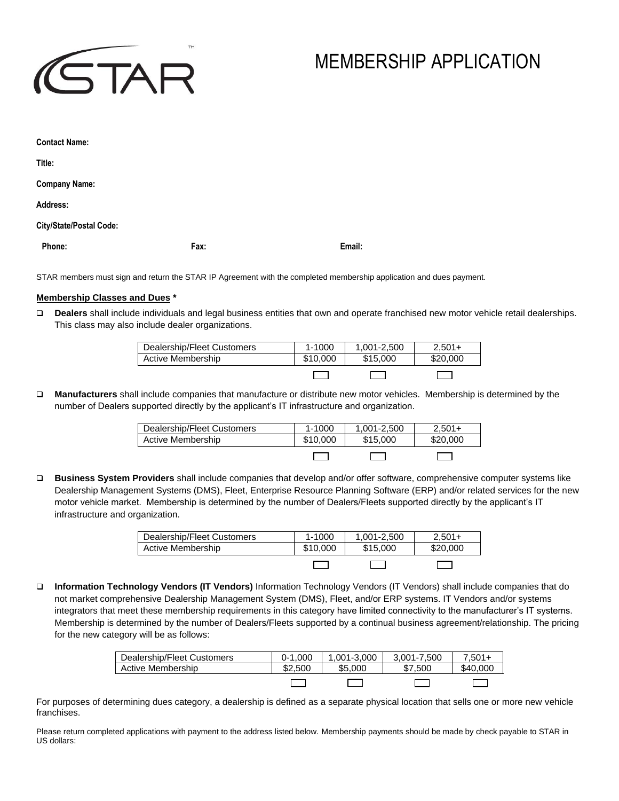

# MEMBERSHIP APPLICATION

| <b>Contact Name:</b>    |      |        |
|-------------------------|------|--------|
| Title:                  |      |        |
| <b>Company Name:</b>    |      |        |
| Address:                |      |        |
| City/State/Postal Code: |      |        |
| Phone:                  | Fax: | Email: |

STAR members must sign and return the STAR IP Agreement with the completed membership application and dues payment.

# **Membership Classes and Dues \***

❑ **Dealers** shall include individuals and legal business entities that own and operate franchised new motor vehicle retail dealerships. This class may also include dealer organizations.

| Dealership/Fleet Customers | $1 - 1000$ | 1.001-2.500 | $2.501+$ |
|----------------------------|------------|-------------|----------|
| Active Membership          | \$10,000   | \$15,000    | \$20,000 |
|                            |            |             |          |

❑ **Manufacturers** shall include companies that manufacture or distribute new motor vehicles. Membership is determined by the number of Dealers supported directly by the applicant's IT infrastructure and organization.

| Dealership/Fleet Customers | $1 - 1000$ | 1.001-2.500 | $2.501+$ |
|----------------------------|------------|-------------|----------|
| Active Membership          | \$10,000   | \$15,000    | \$20,000 |
|                            |            |             |          |

❑ **Business System Providers** shall include companies that develop and/or offer software, comprehensive computer systems like Dealership Management Systems (DMS), Fleet, Enterprise Resource Planning Software (ERP) and/or related services for the new motor vehicle market. Membership is determined by the number of Dealers/Fleets supported directly by the applicant's IT infrastructure and organization.

| Dealership/Fleet Customers | $1 - 1000$ | 1.001-2.500 | $2.501+$ |
|----------------------------|------------|-------------|----------|
| Active Membership          | \$10,000   | \$15,000    | \$20,000 |
|                            |            |             |          |

❑ **Information Technology Vendors (IT Vendors)** Information Technology Vendors (IT Vendors) shall include companies that do not market comprehensive Dealership Management System (DMS), Fleet, and/or ERP systems. IT Vendors and/or systems integrators that meet these membership requirements in this category have limited connectivity to the manufacturer's IT systems. Membership is determined by the number of Dealers/Fleets supported by a continual business agreement/relationship. The pricing for the new category will be as follows:

| Dealership/Fleet Customers | $0-1.000$ | .001-3.000 | 3.001-7.500 | $7.501 +$ |
|----------------------------|-----------|------------|-------------|-----------|
| Active Membership          | \$2.500   | \$5.000    | \$7.500     | \$40,000  |
|                            |           |            |             |           |

For purposes of determining dues category, a dealership is defined as a separate physical location that sells one or more new vehicle franchises.

Please return completed applications with payment to the address listed below. Membership payments should be made by check payable to STAR in US dollars: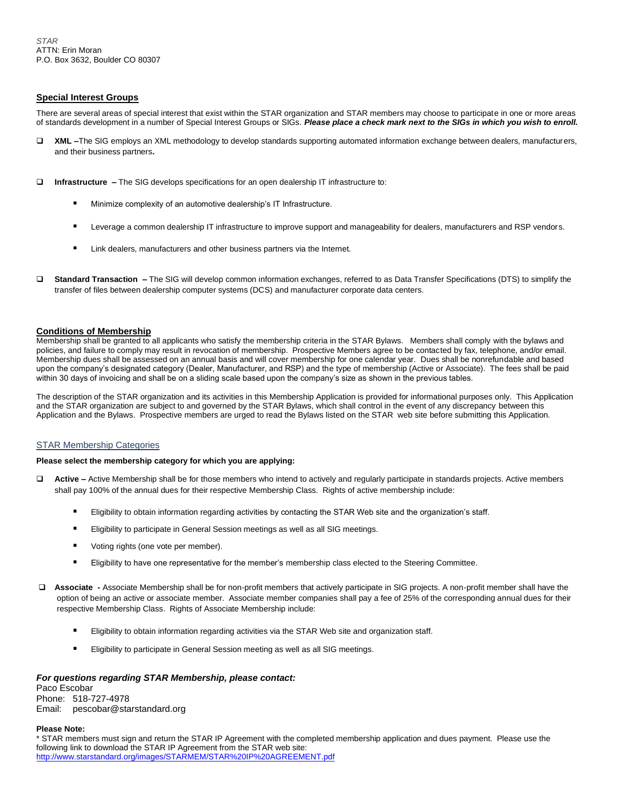# **Special Interest Groups**

There are several areas of special interest that exist within the STAR organization and STAR members may choose to participate in one or more areas of standards development in a number of Special Interest Groups or SIGs. *Please place a check mark next to the SIGs in which you wish to enroll.*

- ❑ **XML –**The SIG employs an XML methodology to develop standards supporting automated information exchange between dealers, manufacturers, and their business partners**.**
- ❑ **Infrastructure –** The SIG develops specifications for an open dealership IT infrastructure to:
	- Minimize complexity of an automotive dealership's IT Infrastructure.
	- Leverage a common dealership IT infrastructure to improve support and manageability for dealers, manufacturers and RSP vendors.
	- Link dealers, manufacturers and other business partners via the Internet.
- ❑ **Standard Transaction –** The SIG will develop common information exchanges, referred to as Data Transfer Specifications (DTS) to simplify the transfer of files between dealership computer systems (DCS) and manufacturer corporate data centers.

### **Conditions of Membership**

Membership shall be granted to all applicants who satisfy the membership criteria in the STAR Bylaws. Members shall comply with the bylaws and policies, and failure to comply may result in revocation of membership. Prospective Members agree to be contacted by fax, telephone, and/or email. Membership dues shall be assessed on an annual basis and will cover membership for one calendar year. Dues shall be nonrefundable and based upon the company's designated category (Dealer, Manufacturer, and RSP) and the type of membership (Active or Associate). The fees shall be paid within 30 days of invoicing and shall be on a sliding scale based upon the company's size as shown in the previous tables.

The description of the STAR organization and its activities in this Membership Application is provided for informational purposes only. This Application and the STAR organization are subject to and governed by the STAR Bylaws, which shall control in the event of any discrepancy between this Application and the Bylaws. Prospective members are urged to read the Bylaws listed on the STAR web site before submitting this Application.

## **STAR Membership Categories**

#### **Please select the membership category for which you are applying:**

- ❑ **Active –** Active Membership shall be for those members who intend to actively and regularly participate in standards projects. Active members shall pay 100% of the annual dues for their respective Membership Class. Rights of active membership include:
	- Eligibility to obtain information regarding activities by contacting the STAR Web site and the organization's staff.
	- Eligibility to participate in General Session meetings as well as all SIG meetings.
	- Voting rights (one vote per member).
	- Eligibility to have one representative for the member's membership class elected to the Steering Committee.
- ❑ **Associate -** Associate Membership shall be for non-profit members that actively participate in SIG projects. A non-profit member shall have the option of being an active or associate member. Associate member companies shall pay a fee of 25% of the corresponding annual dues for their respective Membership Class. Rights of Associate Membership include:
	- Eligibility to obtain information regarding activities via the STAR Web site and organization staff.
	- Eligibility to participate in General Session meeting as well as all SIG meetings.

## *For questions regarding STAR Membership, please contact:*

Paco Escobar Phone: 518-727-4978 Email: pescobar@starstandard.org

### **Please Note:**

\* STAR members must sign and return the STAR IP Agreement with the completed membership application and dues payment. Please use the following link to download the STAR IP Agreement from the STAR web site: [http://www.starstandard.org/images/STARMEM/STAR%20IP%20AGREEMENT.pdf](http://www.starstandard.org/images/STARMEM/STAR%20IP%20AGREEMENT%202014.pdf)